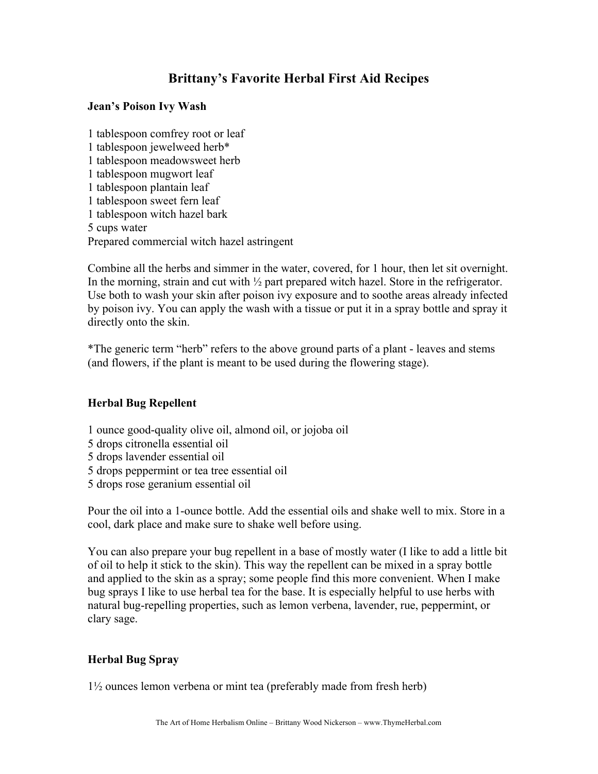# **Brittany's Favorite Herbal First Aid Recipes**

### **Jean's Poison Ivy Wash**

1 tablespoon comfrey root or leaf 1 tablespoon jewelweed herb\* 1 tablespoon meadowsweet herb 1 tablespoon mugwort leaf 1 tablespoon plantain leaf 1 tablespoon sweet fern leaf 1 tablespoon witch hazel bark 5 cups water Prepared commercial witch hazel astringent

Combine all the herbs and simmer in the water, covered, for 1 hour, then let sit overnight. In the morning, strain and cut with  $\frac{1}{2}$  part prepared witch hazel. Store in the refrigerator. Use both to wash your skin after poison ivy exposure and to soothe areas already infected by poison ivy. You can apply the wash with a tissue or put it in a spray bottle and spray it directly onto the skin.

\*The generic term "herb" refers to the above ground parts of a plant - leaves and stems (and flowers, if the plant is meant to be used during the flowering stage).

## **Herbal Bug Repellent**

- 1 ounce good-quality olive oil, almond oil, or jojoba oil
- 5 drops citronella essential oil
- 5 drops lavender essential oil
- 5 drops peppermint or tea tree essential oil
- 5 drops rose geranium essential oil

Pour the oil into a 1-ounce bottle. Add the essential oils and shake well to mix. Store in a cool, dark place and make sure to shake well before using.

You can also prepare your bug repellent in a base of mostly water (I like to add a little bit of oil to help it stick to the skin). This way the repellent can be mixed in a spray bottle and applied to the skin as a spray; some people find this more convenient. When I make bug sprays I like to use herbal tea for the base. It is especially helpful to use herbs with natural bug-repelling properties, such as lemon verbena, lavender, rue, peppermint, or clary sage.

## **Herbal Bug Spray**

1½ ounces lemon verbena or mint tea (preferably made from fresh herb)